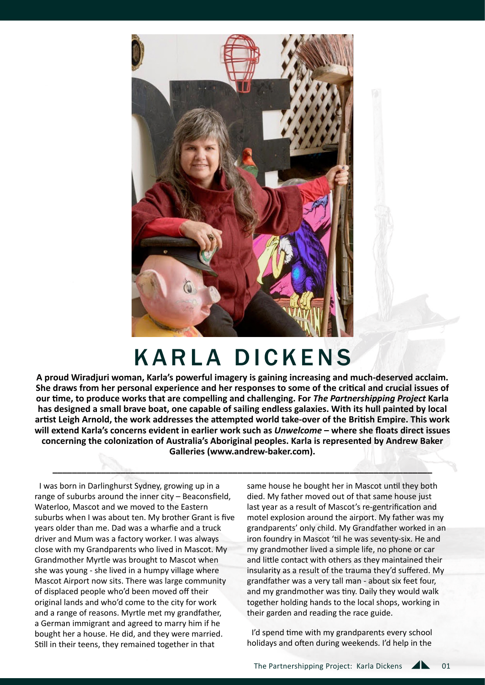

# KARLA DICKENS

**A proud Wiradjuri woman, Karla's powerful imagery is gaining increasing and much-deserved acclaim. She draws from her personal experience and her responses to some of the critical and crucial issues of our time, to produce works that are compelling and challenging. For** *The Partnershipping Project* **Karla has designed a small brave boat, one capable of sailing endless galaxies. With its hull painted by local artist Leigh Arnold, the work addresses the attempted world take-over of the British Empire. This work will extend Karla's concerns evident in earlier work such as** *Unwelcome* **– where she floats direct issues concerning the colonization of Australia's Aboriginal peoples. Karla is represented by Andrew Baker Galleries (www.andrew-baker.com).**

**\_\_\_\_\_\_\_\_\_\_\_\_\_\_\_\_\_\_\_\_\_\_\_\_\_\_\_\_\_\_\_\_\_\_\_\_\_\_\_\_\_\_\_\_\_\_\_\_\_\_\_\_\_\_\_\_\_\_\_\_\_\_\_\_\_\_\_\_\_\_\_\_\_\_\_\_\_\_**

I was born in Darlinghurst Sydney, growing up in a range of suburbs around the inner city – Beaconsfield, Waterloo, Mascot and we moved to the Eastern suburbs when I was about ten. My brother Grant is five years older than me. Dad was a wharfie and a truck driver and Mum was a factory worker. I was always close with my Grandparents who lived in Mascot. My Grandmother Myrtle was brought to Mascot when she was young - she lived in a humpy village where Mascot Airport now sits. There was large community of displaced people who'd been moved off their original lands and who'd come to the city for work and a range of reasons. Myrtle met my grandfather, a German immigrant and agreed to marry him if he bought her a house. He did, and they were married. Still in their teens, they remained together in that

same house he bought her in Mascot until they both died. My father moved out of that same house just last year as a result of Mascot's re-gentrification and motel explosion around the airport. My father was my grandparents' only child. My Grandfather worked in an iron foundry in Mascot 'til he was seventy-six. He and my grandmother lived a simple life, no phone or car and little contact with others as they maintained their insularity as a result of the trauma they'd suffered. My grandfather was a very tall man - about six feet four, and my grandmother was tiny. Daily they would walk together holding hands to the local shops, working in their garden and reading the race guide.

I'd spend time with my grandparents every school holidays and often during weekends. I'd help in the

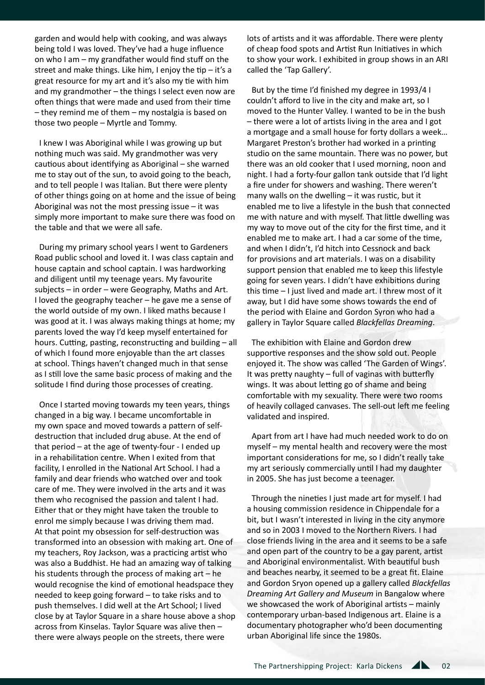garden and would help with cooking, and was always being told I was loved. They've had a huge influence on who I am – my grandfather would find stuff on the street and make things. Like him, I enjoy the tip  $-$  it's a great resource for my art and it's also my tie with him and my grandmother – the things I select even now are often things that were made and used from their time – they remind me of them – my nostalgia is based on those two people – Myrtle and Tommy.

I knew I was Aboriginal while I was growing up but nothing much was said. My grandmother was very cautious about identifying as Aboriginal – she warned me to stay out of the sun, to avoid going to the beach, and to tell people I was Italian. But there were plenty of other things going on at home and the issue of being Aboriginal was not the most pressing issue – it was simply more important to make sure there was food on the table and that we were all safe.

During my primary school years I went to Gardeners Road public school and loved it. I was class captain and house captain and school captain. I was hardworking and diligent until my teenage years. My favourite subjects – in order – were Geography, Maths and Art. I loved the geography teacher – he gave me a sense of the world outside of my own. I liked maths because I was good at it. I was always making things at home; my parents loved the way I'd keep myself entertained for hours. Cutting, pasting, reconstructing and building – all of which I found more enjoyable than the art classes at school. Things haven't changed much in that sense as I still love the same basic process of making and the solitude I find during those processes of creating.

Once I started moving towards my teen years, things changed in a big way. I became uncomfortable in my own space and moved towards a pattern of selfdestruction that included drug abuse. At the end of that period – at the age of twenty-four - I ended up in a rehabilitation centre. When I exited from that facility, I enrolled in the National Art School. I had a family and dear friends who watched over and took care of me. They were involved in the arts and it was them who recognised the passion and talent I had. Either that or they might have taken the trouble to enrol me simply because I was driving them mad. At that point my obsession for self-destruction was transformed into an obsession with making art. One of my teachers, Roy Jackson, was a practicing artist who was also a Buddhist. He had an amazing way of talking his students through the process of making art – he would recognise the kind of emotional headspace they needed to keep going forward – to take risks and to push themselves. I did well at the Art School; I lived close by at Taylor Square in a share house above a shop across from Kinselas. Taylor Square was alive then – there were always people on the streets, there were

lots of artists and it was affordable. There were plenty of cheap food spots and Artist Run Initiatives in which to show your work. I exhibited in group shows in an ARI called the 'Tap Gallery'.

But by the time I'd finished my degree in 1993/4 I couldn't afford to live in the city and make art, so I moved to the Hunter Valley. I wanted to be in the bush – there were a lot of artists living in the area and I got a mortgage and a small house for forty dollars a week… Margaret Preston's brother had worked in a printing studio on the same mountain. There was no power, but there was an old cooker that I used morning, noon and night. I had a forty-four gallon tank outside that I'd light a fire under for showers and washing. There weren't many walls on the dwelling – it was rustic, but it enabled me to live a lifestyle in the bush that connected me with nature and with myself. That little dwelling was my way to move out of the city for the first time, and it enabled me to make art. I had a car some of the time, and when I didn't, I'd hitch into Cessnock and back for provisions and art materials. I was on a disability support pension that enabled me to keep this lifestyle going for seven years. I didn't have exhibitions during this time – I just lived and made art. I threw most of it away, but I did have some shows towards the end of the period with Elaine and Gordon Syron who had a gallery in Taylor Square called *Blackfellas Dreaming*.

The exhibition with Elaine and Gordon drew supportive responses and the show sold out. People enjoyed it. The show was called 'The Garden of Wings'. It was pretty naughty – full of vaginas with butterfly wings. It was about letting go of shame and being comfortable with my sexuality. There were two rooms of heavily collaged canvases. The sell-out left me feeling validated and inspired.

Apart from art I have had much needed work to do on myself – my mental health and recovery were the most important considerations for me, so I didn't really take my art seriously commercially until I had my daughter in 2005. She has just become a teenager.

Through the nineties I just made art for myself. I had a housing commission residence in Chippendale for a bit, but I wasn't interested in living in the city anymore and so in 2003 I moved to the Northern Rivers. I had close friends living in the area and it seems to be a safe and open part of the country to be a gay parent, artist and Aboriginal environmentalist. With beautiful bush and beaches nearby, it seemed to be a great fit. Elaine and Gordon Sryon opened up a gallery called *Blackfellas Dreaming Art Gallery and Museum* in Bangalow where we showcased the work of Aboriginal artists – mainly contemporary urban-based Indigenous art. Elaine is a documentary photographer who'd been documenting urban Aboriginal life since the 1980s.

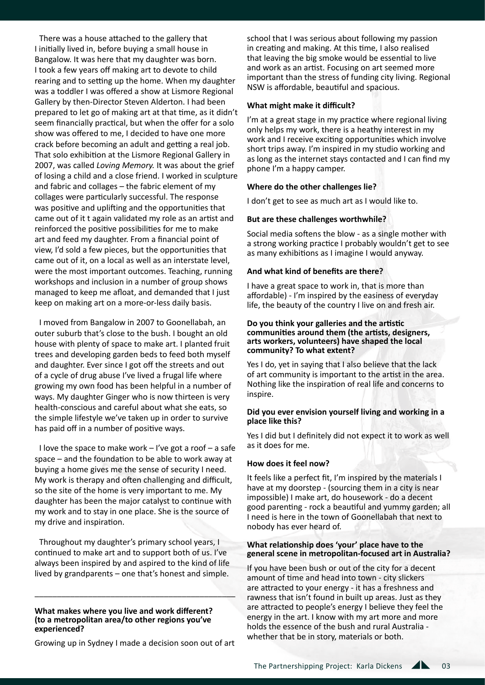There was a house attached to the gallery that I initially lived in, before buying a small house in Bangalow. It was here that my daughter was born. I took a few years off making art to devote to child rearing and to setting up the home. When my daughter was a toddler I was offered a show at Lismore Regional Gallery by then-Director Steven Alderton. I had been prepared to let go of making art at that time, as it didn't seem financially practical, but when the offer for a solo show was offered to me, I decided to have one more crack before becoming an adult and getting a real job. That solo exhibition at the Lismore Regional Gallery in 2007, was called *Loving Memory.* It was about the grief of losing a child and a close friend. I worked in sculpture and fabric and collages – the fabric element of my collages were particularly successful. The response was positive and uplifting and the opportunities that came out of it t again validated my role as an artist and reinforced the positive possibilities for me to make art and feed my daughter. From a financial point of view, I'd sold a few pieces, but the opportunities that came out of it, on a local as well as an interstate level, were the most important outcomes. Teaching, running workshops and inclusion in a number of group shows managed to keep me afloat, and demanded that I just keep on making art on a more-or-less daily basis.

I moved from Bangalow in 2007 to Goonellabah, an outer suburb that's close to the bush. I bought an old house with plenty of space to make art. I planted fruit trees and developing garden beds to feed both myself and daughter. Ever since I got off the streets and out of a cycle of drug abuse I've lived a frugal life where growing my own food has been helpful in a number of ways. My daughter Ginger who is now thirteen is very health-conscious and careful about what she eats, so the simple lifestyle we've taken up in order to survive has paid off in a number of positive ways.

I love the space to make work – I've got a roof – a safe space – and the foundation to be able to work away at buying a home gives me the sense of security I need. My work is therapy and often challenging and difficult, so the site of the home is very important to me. My daughter has been the major catalyst to continue with my work and to stay in one place. She is the source of my drive and inspiration.

Throughout my daughter's primary school years, I continued to make art and to support both of us. I've always been inspired by and aspired to the kind of life lived by grandparents – one that's honest and simple.

\_\_\_\_\_\_\_\_\_\_\_\_\_\_\_\_\_\_\_\_\_\_\_\_\_\_\_\_\_\_\_\_\_\_\_\_\_\_\_\_\_\_\_\_\_

#### **What makes where you live and work different? (to a metropolitan area/to other regions you've experienced?**

Growing up in Sydney I made a decision soon out of art

school that I was serious about following my passion in creating and making. At this time, I also realised that leaving the big smoke would be essential to live and work as an artist. Focusing on art seemed more important than the stress of funding city living. Regional NSW is affordable, beautiful and spacious.

## **What might make it difficult?**

I'm at a great stage in my practice where regional living only helps my work, there is a heathy interest in my work and I receive exciting opportunities which involve short trips away. I'm inspired in my studio working and as long as the internet stays contacted and I can find my phone I'm a happy camper.

## **Where do the other challenges lie?**

I don't get to see as much art as I would like to.

## **But are these challenges worthwhile?**

Social media softens the blow - as a single mother with a strong working practice I probably wouldn't get to see as many exhibitions as I imagine I would anyway.

# **And what kind of benefits are there?**

I have a great space to work in, that is more than affordable) - I'm inspired by the easiness of everyday life, the beauty of the country I live on and fresh air.

#### **Do you think your galleries and the artistic communities around them (the artists, designers, arts workers, volunteers) have shaped the local community? To what extent?**

Yes I do, yet in saying that I also believe that the lack of art community is important to the artist in the area. Nothing like the inspiration of real life and concerns to inspire.

## **Did you ever envision yourself living and working in a place like this?**

Yes I did but I definitely did not expect it to work as well as it does for me.

# **How does it feel now?**

It feels like a perfect fit, I'm inspired by the materials I have at my doorstep - (sourcing them in a city is near impossible) I make art, do housework - do a decent good parenting - rock a beautiful and yummy garden; all I need is here in the town of Goonellabah that next to nobody has ever heard of.

#### **What relationship does 'your' place have to the general scene in metropolitan-focused art in Australia?**

If you have been bush or out of the city for a decent amount of time and head into town - city slickers are attracted to your energy - it has a freshness and rawness that isn't found in built up areas. Just as they are attracted to people's energy I believe they feel the energy in the art. I know with my art more and more holds the essence of the bush and rural Australia whether that be in story, materials or both.